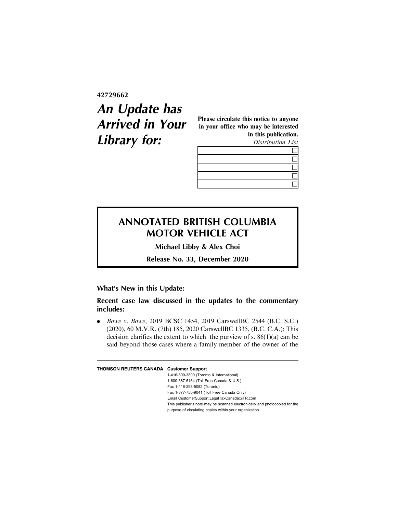**42729662**

## **An Update has Arrived in Your Library for:**

Please circulate this notice to anyone in your office who may be interested in this publication. Distribution List

 $\Box$ & **h**  $\Box$  $\Box$ 

## **ANNOTATED BRITISH COLUMBIA MOTOR VEHICLE ACT**

**Michael Libby & Alex Choi**

**Release No. 33, December 2020**

## **What's New in this Update:**

**Recent case law discussed in the updates to the commentary includes:**

. Bowe v. Bowe, 2019 BCSC 1454, 2019 CarswellBC 2544 (B.C. S.C.) (2020), 60 M.V.R. (7th) 185, 2020 CarswellBC 1335, (B.C. C.A.): This decision clarifies the extent to which the purview of s.  $86(1)(a)$  can be said beyond those cases where a family member of the owner of the

## **THOMSON REUTERS CANADA Customer Support**

1-416-609-3800 (Toronto & International) 1-800-387-5164 (Toll Free Canada & U.S.) Fax 1-416-298-5082 (Toronto) Fax 1-877-750-9041 (Toll Free Canada Only) Email CustomerSupport.LegalTaxCanada@TR.com This publisher's note may be scanned electronically and photocopied for the purpose of circulating copies within your organization.